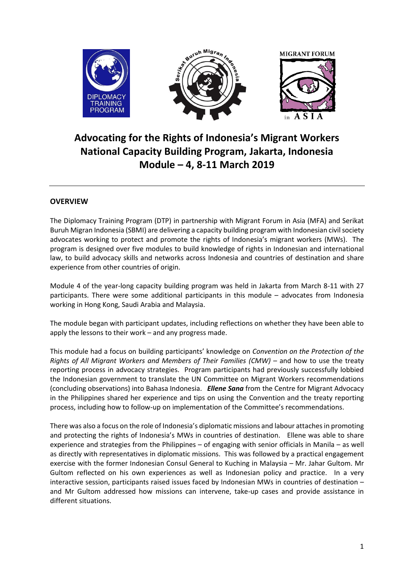

## **Advocating for the Rights of Indonesia's Migrant Workers National Capacity Building Program, Jakarta, Indonesia Module – 4, 8-11 March 2019**

## **OVERVIEW**

The Diplomacy Training Program (DTP) in partnership with Migrant Forum in Asia (MFA) and Serikat Buruh Migran Indonesia (SBMI) are delivering a capacity building program with Indonesian civil society advocates working to protect and promote the rights of Indonesia's migrant workers (MWs). The program is designed over five modules to build knowledge of rights in Indonesian and international law, to build advocacy skills and networks across Indonesia and countries of destination and share experience from other countries of origin.

Module 4 of the year-long capacity building program was held in Jakarta from March 8-11 with 27 participants. There were some additional participants in this module – advocates from Indonesia working in Hong Kong, Saudi Arabia and Malaysia.

The module began with participant updates, including reflections on whether they have been able to apply the lessons to their work – and any progress made.

This module had a focus on building participants' knowledge on *[Convention on the Protection of the](https://www.ohchr.org/EN/ProfessionalInterest/Pages/CMW.aspx)  [Rights of All Migrant Workers and Members of Their Families](https://www.ohchr.org/EN/ProfessionalInterest/Pages/CMW.aspx) (CMW)* – and how to use the treaty reporting process in advocacy strategies. Program participants had previously successfully lobbied the Indonesian government to translate the UN Committee on Migrant Workers recommendations (concluding observations) into Bahasa Indonesia. *Ellene Sana* from the Centre for Migrant Advocacy in the Philippines shared her experience and tips on using the Convention and the treaty reporting process, including how to follow-up on implementation of the Committee's recommendations.

There was also a focus on the role of Indonesia's diplomatic missions and labour attaches in promoting and protecting the rights of Indonesia's MWs in countries of destination. Ellene was able to share experience and strategies from the Philippines – of engaging with senior officials in Manila – as well as directly with representatives in diplomatic missions. This was followed by a practical engagement exercise with the former Indonesian Consul General to Kuching in Malaysia – Mr. Jahar Gultom. Mr Gultom reflected on his own experiences as well as Indonesian policy and practice. In a very interactive session, participants raised issues faced by Indonesian MWs in countries of destination – and Mr Gultom addressed how missions can intervene, take-up cases and provide assistance in different situations.